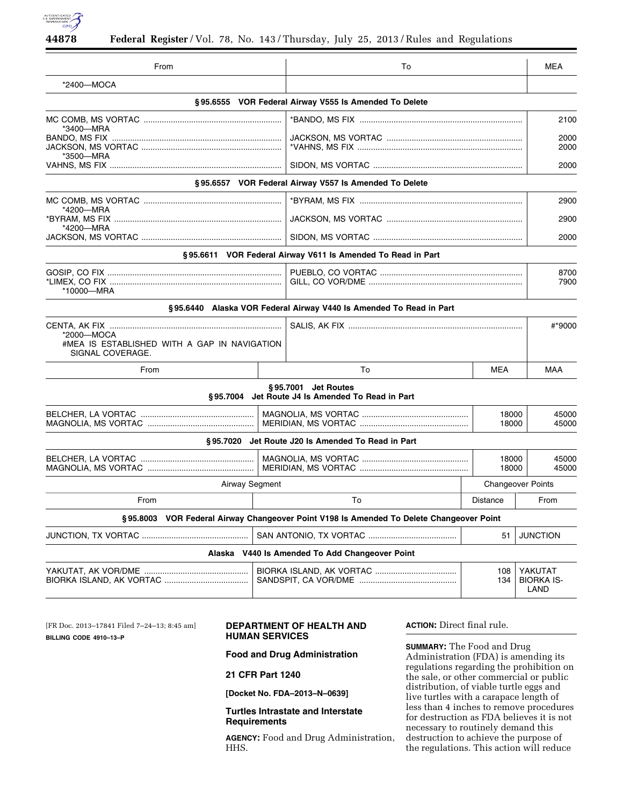

| From                                                                           |  | To                                                                                      |                | <b>MEA</b>                           |
|--------------------------------------------------------------------------------|--|-----------------------------------------------------------------------------------------|----------------|--------------------------------------|
| *2400-MOCA                                                                     |  |                                                                                         |                |                                      |
|                                                                                |  | §95.6555 VOR Federal Airway V555 Is Amended To Delete                                   |                |                                      |
|                                                                                |  |                                                                                         |                | 2100                                 |
| *3400—MRA<br>*3500-MRA                                                         |  |                                                                                         |                | 2000<br>2000                         |
|                                                                                |  |                                                                                         |                | 2000                                 |
|                                                                                |  | §95.6557 VOR Federal Airway V557 Is Amended To Delete                                   |                |                                      |
|                                                                                |  |                                                                                         |                | 2900                                 |
| *4200-MRA<br>*4200—MRA                                                         |  |                                                                                         |                | 2900                                 |
|                                                                                |  |                                                                                         |                | 2000                                 |
|                                                                                |  | §95.6611 VOR Federal Airway V611 Is Amended To Read in Part                             |                |                                      |
| *10000-MRA                                                                     |  |                                                                                         |                | 8700<br>7900                         |
|                                                                                |  | §95.6440 Alaska VOR Federal Airway V440 Is Amended To Read in Part                      |                |                                      |
| *2000-MOCA<br>#MEA IS ESTABLISHED WITH A GAP IN NAVIGATION<br>SIGNAL COVERAGE. |  |                                                                                         |                | #*9000                               |
| From                                                                           |  | To                                                                                      | <b>MEA</b>     | MAA                                  |
|                                                                                |  | §95.7001 Jet Routes<br>§95.7004 Jet Route J4 Is Amended To Read in Part                 |                |                                      |
|                                                                                |  |                                                                                         | 18000<br>18000 | 45000<br>45000                       |
|                                                                                |  | §95.7020 Jet Route J20 Is Amended To Read in Part                                       |                |                                      |
|                                                                                |  |                                                                                         |                | 18000<br>45000<br>18000<br>45000     |
| Airway Segment                                                                 |  | <b>Changeover Points</b>                                                                |                |                                      |
| To<br>From                                                                     |  | <b>Distance</b>                                                                         | From           |                                      |
|                                                                                |  | §95.8003 VOR Federal Airway Changeover Point V198 Is Amended To Delete Changeover Point |                |                                      |
|                                                                                |  |                                                                                         | 51             | <b>JUNCTION</b>                      |
|                                                                                |  | Alaska V440 Is Amended To Add Changeover Point                                          |                |                                      |
|                                                                                |  |                                                                                         | 108<br>134     | YAKUTAT<br><b>BIORKA IS-</b><br>LAND |

[FR Doc. 2013–17841 Filed 7–24–13; 8:45 am] **BILLING CODE 4910–13–P** 

# **DEPARTMENT OF HEALTH AND HUMAN SERVICES**

**Food and Drug Administration** 

## **21 CFR Part 1240**

**[Docket No. FDA–2013–N–0639]** 

## **Turtles Intrastate and Interstate Requirements**

**AGENCY:** Food and Drug Administration, HHS.

**ACTION:** Direct final rule.

**SUMMARY:** The Food and Drug Administration (FDA) is amending its regulations regarding the prohibition on the sale, or other commercial or public distribution, of viable turtle eggs and live turtles with a carapace length of less than 4 inches to remove procedures for destruction as FDA believes it is not necessary to routinely demand this destruction to achieve the purpose of the regulations. This action will reduce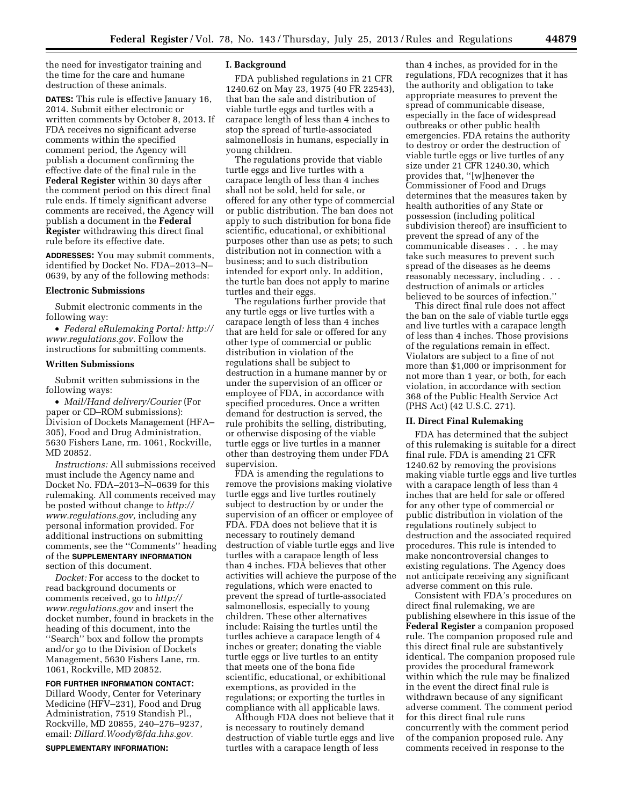the need for investigator training and the time for the care and humane destruction of these animals.

**DATES:** This rule is effective January 16, 2014. Submit either electronic or written comments by October 8, 2013. If FDA receives no significant adverse comments within the specified comment period, the Agency will publish a document confirming the effective date of the final rule in the **Federal Register** within 30 days after the comment period on this direct final rule ends. If timely significant adverse comments are received, the Agency will publish a document in the **Federal Register** withdrawing this direct final rule before its effective date.

**ADDRESSES:** You may submit comments, identified by Docket No. FDA–2013–N– 0639, by any of the following methods:

### **Electronic Submissions**

Submit electronic comments in the following way:

• *Federal eRulemaking Portal: [http://](http://www.regulations.gov)  [www.regulations.gov.](http://www.regulations.gov)* Follow the instructions for submitting comments.

#### **Written Submissions**

Submit written submissions in the following ways:

• *Mail/Hand delivery/Courier* (For paper or CD–ROM submissions): Division of Dockets Management (HFA– 305), Food and Drug Administration, 5630 Fishers Lane, rm. 1061, Rockville, MD 20852.

*Instructions:* All submissions received must include the Agency name and Docket No. FDA–2013–N–0639 for this rulemaking. All comments received may be posted without change to *[http://](http://www.regulations.gov) [www.regulations.gov,](http://www.regulations.gov)* including any personal information provided. For additional instructions on submitting comments, see the ''Comments'' heading of the **SUPPLEMENTARY INFORMATION** section of this document.

*Docket:* For access to the docket to read background documents or comments received, go to *[http://](http://www.regulations.gov)  [www.regulations.gov](http://www.regulations.gov)* and insert the docket number, found in brackets in the heading of this document, into the ''Search'' box and follow the prompts and/or go to the Division of Dockets Management, 5630 Fishers Lane, rm. 1061, Rockville, MD 20852.

**FOR FURTHER INFORMATION CONTACT:**  Dillard Woody, Center for Veterinary Medicine (HFV–231), Food and Drug Administration, 7519 Standish Pl., Rockville, MD 20855, 240–276–9237, email: *[Dillard.Woody@fda.hhs.gov.](mailto:Dillard.Woody@fda.hhs.gov)* 

**SUPPLEMENTARY INFORMATION:** 

#### **I. Background**

FDA published regulations in 21 CFR 1240.62 on May 23, 1975 (40 FR 22543), that ban the sale and distribution of viable turtle eggs and turtles with a carapace length of less than 4 inches to stop the spread of turtle-associated salmonellosis in humans, especially in young children.

The regulations provide that viable turtle eggs and live turtles with a carapace length of less than 4 inches shall not be sold, held for sale, or offered for any other type of commercial or public distribution. The ban does not apply to such distribution for bona fide scientific, educational, or exhibitional purposes other than use as pets; to such distribution not in connection with a business; and to such distribution intended for export only. In addition, the turtle ban does not apply to marine turtles and their eggs.

The regulations further provide that any turtle eggs or live turtles with a carapace length of less than 4 inches that are held for sale or offered for any other type of commercial or public distribution in violation of the regulations shall be subject to destruction in a humane manner by or under the supervision of an officer or employee of FDA, in accordance with specified procedures. Once a written demand for destruction is served, the rule prohibits the selling, distributing, or otherwise disposing of the viable turtle eggs or live turtles in a manner other than destroying them under FDA supervision.

FDA is amending the regulations to remove the provisions making violative turtle eggs and live turtles routinely subject to destruction by or under the supervision of an officer or employee of FDA. FDA does not believe that it is necessary to routinely demand destruction of viable turtle eggs and live turtles with a carapace length of less than 4 inches. FDA believes that other activities will achieve the purpose of the regulations, which were enacted to prevent the spread of turtle-associated salmonellosis, especially to young children. These other alternatives include: Raising the turtles until the turtles achieve a carapace length of 4 inches or greater; donating the viable turtle eggs or live turtles to an entity that meets one of the bona fide scientific, educational, or exhibitional exemptions, as provided in the regulations; or exporting the turtles in compliance with all applicable laws.

Although FDA does not believe that it is necessary to routinely demand destruction of viable turtle eggs and live turtles with a carapace length of less

than 4 inches, as provided for in the regulations, FDA recognizes that it has the authority and obligation to take appropriate measures to prevent the spread of communicable disease, especially in the face of widespread outbreaks or other public health emergencies. FDA retains the authority to destroy or order the destruction of viable turtle eggs or live turtles of any size under 21 CFR 1240.30, which provides that, ''[w]henever the Commissioner of Food and Drugs determines that the measures taken by health authorities of any State or possession (including political subdivision thereof) are insufficient to prevent the spread of any of the communicable diseases . . . he may take such measures to prevent such spread of the diseases as he deems reasonably necessary, including . . . destruction of animals or articles believed to be sources of infection.''

This direct final rule does not affect the ban on the sale of viable turtle eggs and live turtles with a carapace length of less than 4 inches. Those provisions of the regulations remain in effect. Violators are subject to a fine of not more than \$1,000 or imprisonment for not more than 1 year, or both, for each violation, in accordance with section 368 of the Public Health Service Act (PHS Act) (42 U.S.C. 271).

#### **II. Direct Final Rulemaking**

FDA has determined that the subject of this rulemaking is suitable for a direct final rule. FDA is amending 21 CFR 1240.62 by removing the provisions making viable turtle eggs and live turtles with a carapace length of less than 4 inches that are held for sale or offered for any other type of commercial or public distribution in violation of the regulations routinely subject to destruction and the associated required procedures. This rule is intended to make noncontroversial changes to existing regulations. The Agency does not anticipate receiving any significant adverse comment on this rule.

Consistent with FDA's procedures on direct final rulemaking, we are publishing elsewhere in this issue of the **Federal Register** a companion proposed rule. The companion proposed rule and this direct final rule are substantively identical. The companion proposed rule provides the procedural framework within which the rule may be finalized in the event the direct final rule is withdrawn because of any significant adverse comment. The comment period for this direct final rule runs concurrently with the comment period of the companion proposed rule. Any comments received in response to the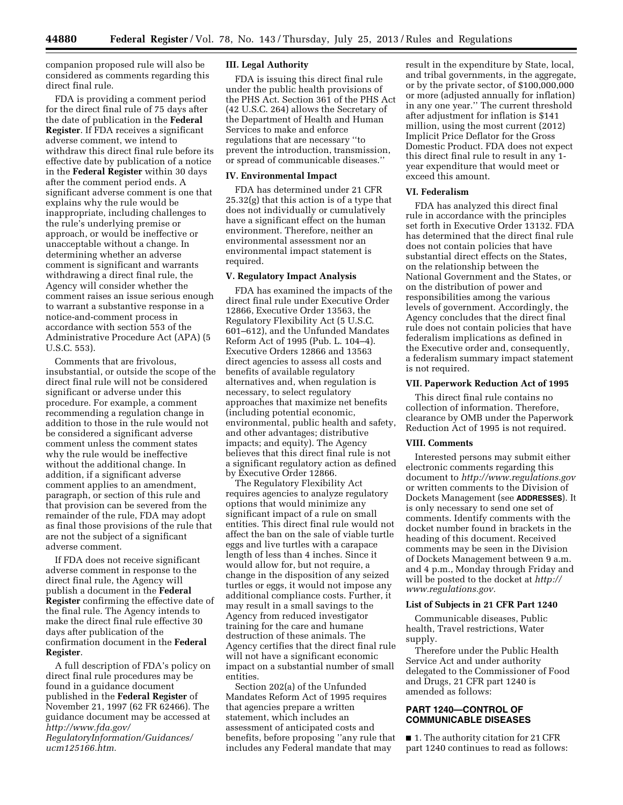companion proposed rule will also be considered as comments regarding this direct final rule.

FDA is providing a comment period for the direct final rule of 75 days after the date of publication in the **Federal Register**. If FDA receives a significant adverse comment, we intend to withdraw this direct final rule before its effective date by publication of a notice in the **Federal Register** within 30 days after the comment period ends. A significant adverse comment is one that explains why the rule would be inappropriate, including challenges to the rule's underlying premise or approach, or would be ineffective or unacceptable without a change. In determining whether an adverse comment is significant and warrants withdrawing a direct final rule, the Agency will consider whether the comment raises an issue serious enough to warrant a substantive response in a notice-and-comment process in accordance with section 553 of the Administrative Procedure Act (APA) (5 U.S.C. 553).

Comments that are frivolous, insubstantial, or outside the scope of the direct final rule will not be considered significant or adverse under this procedure. For example, a comment recommending a regulation change in addition to those in the rule would not be considered a significant adverse comment unless the comment states why the rule would be ineffective without the additional change. In addition, if a significant adverse comment applies to an amendment, paragraph, or section of this rule and that provision can be severed from the remainder of the rule, FDA may adopt as final those provisions of the rule that are not the subject of a significant adverse comment.

If FDA does not receive significant adverse comment in response to the direct final rule, the Agency will publish a document in the **Federal Register** confirming the effective date of the final rule. The Agency intends to make the direct final rule effective 30 days after publication of the confirmation document in the **Federal Register**.

A full description of FDA's policy on direct final rule procedures may be found in a guidance document published in the **Federal Register** of November 21, 1997 (62 FR 62466). The guidance document may be accessed at *[http://www.fda.gov/](http://www.fda.gov/RegulatoryInformation/Guidances/ucm125166.htm) [RegulatoryInformation/Guidances/](http://www.fda.gov/RegulatoryInformation/Guidances/ucm125166.htm)  [ucm125166.htm.](http://www.fda.gov/RegulatoryInformation/Guidances/ucm125166.htm)* 

#### **III. Legal Authority**

FDA is issuing this direct final rule under the public health provisions of the PHS Act. Section 361 of the PHS Act (42 U.S.C. 264) allows the Secretary of the Department of Health and Human Services to make and enforce regulations that are necessary ''to prevent the introduction, transmission, or spread of communicable diseases.''

#### **IV. Environmental Impact**

FDA has determined under 21 CFR 25.32(g) that this action is of a type that does not individually or cumulatively have a significant effect on the human environment. Therefore, neither an environmental assessment nor an environmental impact statement is required.

### **V. Regulatory Impact Analysis**

FDA has examined the impacts of the direct final rule under Executive Order 12866, Executive Order 13563, the Regulatory Flexibility Act (5 U.S.C. 601–612), and the Unfunded Mandates Reform Act of 1995 (Pub. L. 104–4). Executive Orders 12866 and 13563 direct agencies to assess all costs and benefits of available regulatory alternatives and, when regulation is necessary, to select regulatory approaches that maximize net benefits (including potential economic, environmental, public health and safety, and other advantages; distributive impacts; and equity). The Agency believes that this direct final rule is not a significant regulatory action as defined by Executive Order 12866.

The Regulatory Flexibility Act requires agencies to analyze regulatory options that would minimize any significant impact of a rule on small entities. This direct final rule would not affect the ban on the sale of viable turtle eggs and live turtles with a carapace length of less than 4 inches. Since it would allow for, but not require, a change in the disposition of any seized turtles or eggs, it would not impose any additional compliance costs. Further, it may result in a small savings to the Agency from reduced investigator training for the care and humane destruction of these animals. The Agency certifies that the direct final rule will not have a significant economic impact on a substantial number of small entities.

Section 202(a) of the Unfunded Mandates Reform Act of 1995 requires that agencies prepare a written statement, which includes an assessment of anticipated costs and benefits, before proposing ''any rule that includes any Federal mandate that may

result in the expenditure by State, local, and tribal governments, in the aggregate, or by the private sector, of \$100,000,000 or more (adjusted annually for inflation) in any one year.'' The current threshold after adjustment for inflation is \$141 million, using the most current (2012) Implicit Price Deflator for the Gross Domestic Product. FDA does not expect this direct final rule to result in any 1 year expenditure that would meet or exceed this amount.

#### **VI. Federalism**

FDA has analyzed this direct final rule in accordance with the principles set forth in Executive Order 13132. FDA has determined that the direct final rule does not contain policies that have substantial direct effects on the States, on the relationship between the National Government and the States, or on the distribution of power and responsibilities among the various levels of government. Accordingly, the Agency concludes that the direct final rule does not contain policies that have federalism implications as defined in the Executive order and, consequently, a federalism summary impact statement is not required.

#### **VII. Paperwork Reduction Act of 1995**

This direct final rule contains no collection of information. Therefore, clearance by OMB under the Paperwork Reduction Act of 1995 is not required.

#### **VIII. Comments**

Interested persons may submit either electronic comments regarding this document to *<http://www.regulations.gov>* or written comments to the Division of Dockets Management (see **ADDRESSES**). It is only necessary to send one set of comments. Identify comments with the docket number found in brackets in the heading of this document. Received comments may be seen in the Division of Dockets Management between 9 a.m. and 4 p.m., Monday through Friday and will be posted to the docket at *[http://](http://www.regulations.gov) [www.regulations.gov.](http://www.regulations.gov)* 

### **List of Subjects in 21 CFR Part 1240**

Communicable diseases, Public health, Travel restrictions, Water supply.

Therefore under the Public Health Service Act and under authority delegated to the Commissioner of Food and Drugs, 21 CFR part 1240 is amended as follows:

### **PART 1240—CONTROL OF COMMUNICABLE DISEASES**

■ 1. The authority citation for 21 CFR part 1240 continues to read as follows: